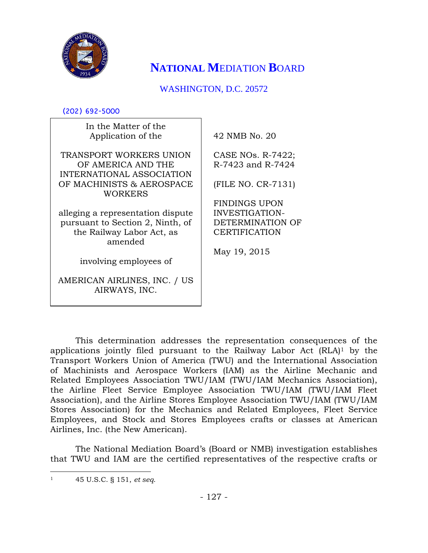

# **NATIONAL M**EDIATION **B**OARD

## WASHINGTON, D.C. 20572

(202) 692-5000

| In the Matter of the<br>Application of the                                 | 42 NMB No. 20                          |
|----------------------------------------------------------------------------|----------------------------------------|
| TRANSPORT WORKERS UNION<br>OF AMERICA AND THE<br>INTERNATIONAL ASSOCIATION | CASE NOs. R-7422;<br>R-7423 and R-7424 |
| OF MACHINISTS & AEROSPACE<br>WORKERS                                       | (FILE NO. CR-7131)                     |
|                                                                            | <b>FINDINGS UPON</b>                   |
| alleging a representation dispute                                          | INVESTIGATION-                         |
| pursuant to Section 2, Ninth, of                                           | DETERMINATION OF                       |
| the Railway Labor Act, as<br>amended                                       | <b>CERTIFICATION</b>                   |
|                                                                            | May 19, 2015                           |
| involving employees of                                                     |                                        |
| AMERICAN AIRLINES, INC. / US<br>AIRWAYS, INC.                              |                                        |

This determination addresses the representation consequences of the applications jointly filed pursuant to the Railway Labor Act (RLA)<sup>1</sup> by the Transport Workers Union of America (TWU) and the International Association of Machinists and Aerospace Workers (IAM) as the Airline Mechanic and Related Employees Association TWU/IAM (TWU/IAM Mechanics Association), the Airline Fleet Service Employee Association TWU/IAM (TWU/IAM Fleet Association), and the Airline Stores Employee Association TWU/IAM (TWU/IAM Stores Association) for the Mechanics and Related Employees, Fleet Service Employees, and Stock and Stores Employees crafts or classes at American Airlines, Inc. (the New American).

The National Mediation Board's (Board or NMB) investigation establishes that TWU and IAM are the certified representatives of the respective crafts or

 $\overline{\phantom{a}}$ <sup>1</sup> 45 U.S.C. § 151, *et seq*.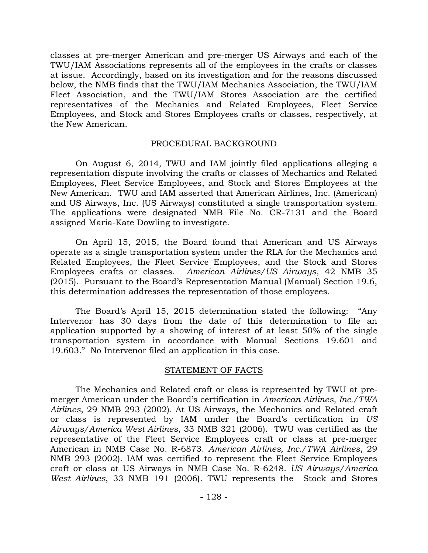classes at pre-merger American and pre-merger US Airways and each of the TWU/IAM Associations represents all of the employees in the crafts or classes at issue. Accordingly, based on its investigation and for the reasons discussed below, the NMB finds that the TWU/IAM Mechanics Association, the TWU/IAM Fleet Association, and the TWU/IAM Stores Association are the certified representatives of the Mechanics and Related Employees, Fleet Service Employees, and Stock and Stores Employees crafts or classes, respectively, at the New American.

#### PROCEDURAL BACKGROUND

On August 6, 2014, TWU and IAM jointly filed applications alleging a representation dispute involving the crafts or classes of Mechanics and Related Employees, Fleet Service Employees, and Stock and Stores Employees at the New American. TWU and IAM asserted that American Airlines, Inc. (American) and US Airways, Inc. (US Airways) constituted a single transportation system. The applications were designated NMB File No. CR-7131 and the Board assigned Maria-Kate Dowling to investigate.

On April 15, 2015, the Board found that American and US Airways operate as a single transportation system under the RLA for the Mechanics and Related Employees, the Fleet Service Employees, and the Stock and Stores Employees crafts or classes. *American Airlines/US Airways*, 42 NMB 35 (2015). Pursuant to the Board's Representation Manual (Manual) Section 19.6, this determination addresses the representation of those employees.

The Board's April 15, 2015 determination stated the following: "Any Intervenor has 30 days from the date of this determination to file an application supported by a showing of interest of at least 50% of the single transportation system in accordance with Manual Sections 19.601 and 19.603." No Intervenor filed an application in this case.

#### STATEMENT OF FACTS

The Mechanics and Related craft or class is represented by TWU at premerger American under the Board's certification in *American Airlines, Inc./TWA Airlines*, 29 NMB 293 (2002). At US Airways, the Mechanics and Related craft or class is represented by IAM under the Board's certification in *US Airways/America West Airlines*, 33 NMB 321 (2006). TWU was certified as the representative of the Fleet Service Employees craft or class at pre-merger American in NMB Case No. R-6873. *American Airlines, Inc./TWA Airlines*, 29 NMB 293 (2002). IAM was certified to represent the Fleet Service Employees craft or class at US Airways in NMB Case No. R-6248. *US Airways/America West Airlines*, 33 NMB 191 (2006). TWU represents the Stock and Stores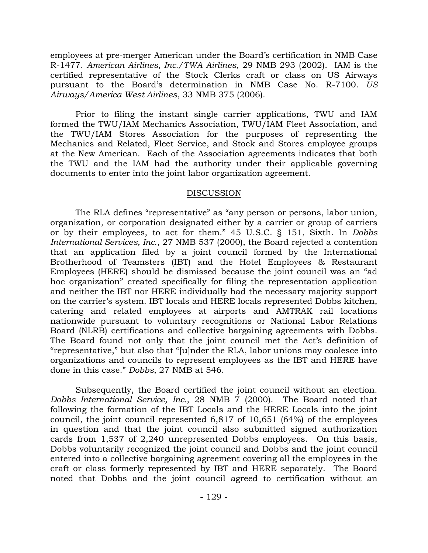employees at pre-merger American under the Board's certification in NMB Case R-1477. *American Airlines, Inc./TWA Airlines*, 29 NMB 293 (2002). IAM is the certified representative of the Stock Clerks craft or class on US Airways pursuant to the Board's determination in NMB Case No. R-7100. *US Airways/America West Airlines*, 33 NMB 375 (2006).

Prior to filing the instant single carrier applications, TWU and IAM formed the TWU/IAM Mechanics Association, TWU/IAM Fleet Association, and the TWU/IAM Stores Association for the purposes of representing the Mechanics and Related, Fleet Service, and Stock and Stores employee groups at the New American. Each of the Association agreements indicates that both the TWU and the IAM had the authority under their applicable governing documents to enter into the joint labor organization agreement.

#### DISCUSSION

The RLA defines "representative" as "any person or persons, labor union, organization, or corporation designated either by a carrier or group of carriers or by their employees, to act for them." 45 U.S.C. § 151, Sixth. In *Dobbs International Services, Inc.*, 27 NMB 537 (2000), the Board rejected a contention that an application filed by a joint council formed by the International Brotherhood of Teamsters (IBT) and the Hotel Employees & Restaurant Employees (HERE) should be dismissed because the joint council was an "ad hoc organization" created specifically for filing the representation application and neither the IBT nor HERE individually had the necessary majority support on the carrier's system. IBT locals and HERE locals represented Dobbs kitchen, catering and related employees at airports and AMTRAK rail locations nationwide pursuant to voluntary recognitions or National Labor Relations Board (NLRB) certifications and collective bargaining agreements with Dobbs. The Board found not only that the joint council met the Act's definition of "representative," but also that "[u]nder the RLA, labor unions may coalesce into organizations and councils to represent employees as the IBT and HERE have done in this case." *Dobbs*, 27 NMB at 546.

Subsequently, the Board certified the joint council without an election. *Dobbs International Service, Inc.*, 28 NMB 7 (2000). The Board noted that following the formation of the IBT Locals and the HERE Locals into the joint council, the joint council represented 6,817 of 10,651 (64%) of the employees in question and that the joint council also submitted signed authorization cards from 1,537 of 2,240 unrepresented Dobbs employees. On this basis, Dobbs voluntarily recognized the joint council and Dobbs and the joint council entered into a collective bargaining agreement covering all the employees in the craft or class formerly represented by IBT and HERE separately. The Board noted that Dobbs and the joint council agreed to certification without an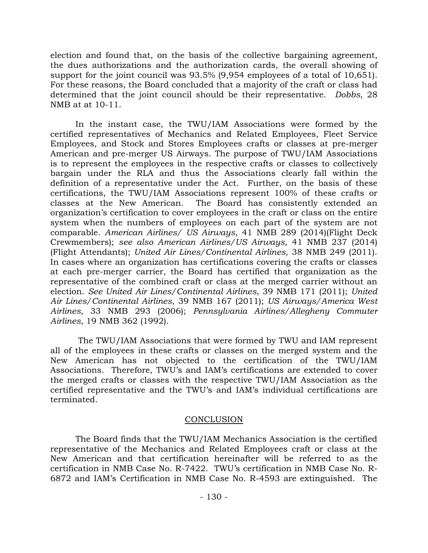election and found that, on the basis of the collective bargaining agreement, the dues authorizations and the authorization cards, the overall showing of support for the joint council was 93.5% (9,954 employees of a total of 10,651). For these reasons, the Board concluded that a majority of the craft or class had determined that the joint council should be their representative. *Dobbs*, 28 NMB at at 10-11.

In the instant case, the TWU/IAM Associations were formed by the certified representatives of Mechanics and Related Employees, Fleet Service Employees, and Stock and Stores Employees crafts or classes at pre-merger American and pre-merger US Airways. The purpose of TWU/IAM Associations is to represent the employees in the respective crafts or classes to collectively bargain under the RLA and thus the Associations clearly fall within the definition of a representative under the Act. Further, on the basis of these certifications, the TWU/IAM Associations represent 100% of these crafts or classes at the New American. The Board has consistently extended an organization's certification to cover employees in the craft or class on the entire system when the numbers of employees on each part of the system are not comparable. *American Airlines/ US Airways*, 41 NMB 289 (2014)(Flight Deck Crewmembers); *see also American Airlines/US Airways*, 41 NMB 237 (2014) (Flight Attendants); *United Air Lines/Continental Airlines,* 38 NMB 249 (2011). In cases where an organization has certifications covering the crafts or classes at each pre-merger carrier, the Board has certified that organization as the representative of the combined craft or class at the merged carrier without an election. *See United Air Lines/Continental Airlines*, 39 NMB 171 (2011); *United Air Lines/Continental Airlines*, 39 NMB 167 (2011); *US Airways/America West Airlines*, 33 NMB 293 (2006); *Pennsylvania Airlines/Allegheny Commuter Airlines*, 19 NMB 362 (1992).

The TWU/IAM Associations that were formed by TWU and IAM represent all of the employees in these crafts or classes on the merged system and the New American has not objected to the certification of the TWU/IAM Associations. Therefore, TWU's and IAM's certifications are extended to cover the merged crafts or classes with the respective TWU/IAM Association as the certified representative and the TWU's and IAM's individual certifications are terminated.

### **CONCLUSION**

The Board finds that the TWU/IAM Mechanics Association is the certified representative of the Mechanics and Related Employees craft or class at the New American and that certification hereinafter will be referred to as the certification in NMB Case No. R-7422. TWU's certification in NMB Case No. R-6872 and IAM's Certification in NMB Case No. R-4593 are extinguished. The